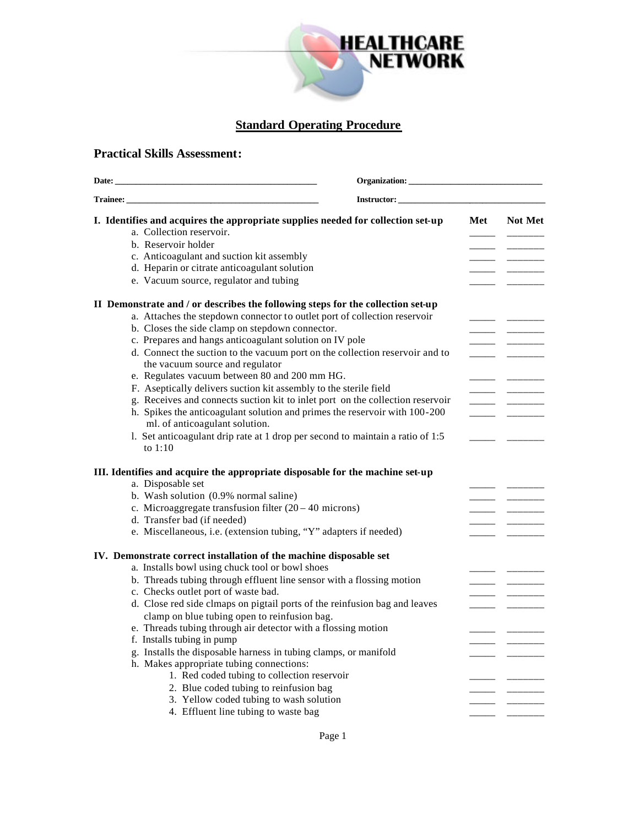

## **Standard Operating Procedure**

## **Practical Skills Assessment:**

| I. Identifies and acquires the appropriate supplies needed for collection set-up<br>Met<br>a. Collection reservoir.<br>b. Reservoir holder<br>c. Anticoagulant and suction kit assembly<br>d. Heparin or citrate anticoagulant solution<br>e. Vacuum source, regulator and tubing<br>II Demonstrate and / or describes the following steps for the collection set-up<br>a. Attaches the stepdown connector to outlet port of collection reservoir<br>b. Closes the side clamp on stepdown connector.<br>c. Prepares and hangs anticoagulant solution on IV pole<br>d. Connect the suction to the vacuum port on the collection reservoir and to<br>the vacuum source and regulator |                |
|------------------------------------------------------------------------------------------------------------------------------------------------------------------------------------------------------------------------------------------------------------------------------------------------------------------------------------------------------------------------------------------------------------------------------------------------------------------------------------------------------------------------------------------------------------------------------------------------------------------------------------------------------------------------------------|----------------|
|                                                                                                                                                                                                                                                                                                                                                                                                                                                                                                                                                                                                                                                                                    |                |
|                                                                                                                                                                                                                                                                                                                                                                                                                                                                                                                                                                                                                                                                                    | <b>Not Met</b> |
|                                                                                                                                                                                                                                                                                                                                                                                                                                                                                                                                                                                                                                                                                    |                |
|                                                                                                                                                                                                                                                                                                                                                                                                                                                                                                                                                                                                                                                                                    |                |
|                                                                                                                                                                                                                                                                                                                                                                                                                                                                                                                                                                                                                                                                                    |                |
|                                                                                                                                                                                                                                                                                                                                                                                                                                                                                                                                                                                                                                                                                    |                |
|                                                                                                                                                                                                                                                                                                                                                                                                                                                                                                                                                                                                                                                                                    |                |
|                                                                                                                                                                                                                                                                                                                                                                                                                                                                                                                                                                                                                                                                                    |                |
|                                                                                                                                                                                                                                                                                                                                                                                                                                                                                                                                                                                                                                                                                    |                |
|                                                                                                                                                                                                                                                                                                                                                                                                                                                                                                                                                                                                                                                                                    |                |
|                                                                                                                                                                                                                                                                                                                                                                                                                                                                                                                                                                                                                                                                                    |                |
|                                                                                                                                                                                                                                                                                                                                                                                                                                                                                                                                                                                                                                                                                    |                |
| e. Regulates vacuum between 80 and 200 mm HG.                                                                                                                                                                                                                                                                                                                                                                                                                                                                                                                                                                                                                                      |                |
| F. Aseptically delivers suction kit assembly to the sterile field                                                                                                                                                                                                                                                                                                                                                                                                                                                                                                                                                                                                                  |                |
| g. Receives and connects suction kit to inlet port on the collection reservoir                                                                                                                                                                                                                                                                                                                                                                                                                                                                                                                                                                                                     |                |
| h. Spikes the anticoagulant solution and primes the reservoir with 100-200                                                                                                                                                                                                                                                                                                                                                                                                                                                                                                                                                                                                         |                |
| ml. of anticoagulant solution.                                                                                                                                                                                                                                                                                                                                                                                                                                                                                                                                                                                                                                                     |                |
| 1. Set anticoagulant drip rate at 1 drop per second to maintain a ratio of 1:5<br>to $1:10$                                                                                                                                                                                                                                                                                                                                                                                                                                                                                                                                                                                        |                |
| III. Identifies and acquire the appropriate disposable for the machine set-up<br>a. Disposable set                                                                                                                                                                                                                                                                                                                                                                                                                                                                                                                                                                                 |                |
| b. Wash solution (0.9% normal saline)                                                                                                                                                                                                                                                                                                                                                                                                                                                                                                                                                                                                                                              |                |
| c. Microaggregate transfusion filter $(20 – 40$ microns)                                                                                                                                                                                                                                                                                                                                                                                                                                                                                                                                                                                                                           |                |
| d. Transfer bad (if needed)                                                                                                                                                                                                                                                                                                                                                                                                                                                                                                                                                                                                                                                        |                |
| e. Miscellaneous, i.e. (extension tubing, "Y" adapters if needed)                                                                                                                                                                                                                                                                                                                                                                                                                                                                                                                                                                                                                  |                |
|                                                                                                                                                                                                                                                                                                                                                                                                                                                                                                                                                                                                                                                                                    |                |
| IV. Demonstrate correct installation of the machine disposable set                                                                                                                                                                                                                                                                                                                                                                                                                                                                                                                                                                                                                 |                |
| a. Installs bowl using chuck tool or bowl shoes                                                                                                                                                                                                                                                                                                                                                                                                                                                                                                                                                                                                                                    |                |
| b. Threads tubing through effluent line sensor with a flossing motion                                                                                                                                                                                                                                                                                                                                                                                                                                                                                                                                                                                                              |                |
| c. Checks outlet port of waste bad.                                                                                                                                                                                                                                                                                                                                                                                                                                                                                                                                                                                                                                                |                |
| d. Close red side clmaps on pigtail ports of the reinfusion bag and leaves                                                                                                                                                                                                                                                                                                                                                                                                                                                                                                                                                                                                         |                |
| clamp on blue tubing open to reinfusion bag.                                                                                                                                                                                                                                                                                                                                                                                                                                                                                                                                                                                                                                       |                |
| e. Threads tubing through air detector with a flossing motion                                                                                                                                                                                                                                                                                                                                                                                                                                                                                                                                                                                                                      |                |
| f. Installs tubing in pump                                                                                                                                                                                                                                                                                                                                                                                                                                                                                                                                                                                                                                                         |                |
| g. Installs the disposable harness in tubing clamps, or manifold                                                                                                                                                                                                                                                                                                                                                                                                                                                                                                                                                                                                                   |                |
| h. Makes appropriate tubing connections:                                                                                                                                                                                                                                                                                                                                                                                                                                                                                                                                                                                                                                           |                |
| 1. Red coded tubing to collection reservoir                                                                                                                                                                                                                                                                                                                                                                                                                                                                                                                                                                                                                                        |                |
| 2. Blue coded tubing to reinfusion bag                                                                                                                                                                                                                                                                                                                                                                                                                                                                                                                                                                                                                                             |                |
| 3. Yellow coded tubing to wash solution                                                                                                                                                                                                                                                                                                                                                                                                                                                                                                                                                                                                                                            |                |
| 4. Effluent line tubing to waste bag                                                                                                                                                                                                                                                                                                                                                                                                                                                                                                                                                                                                                                               |                |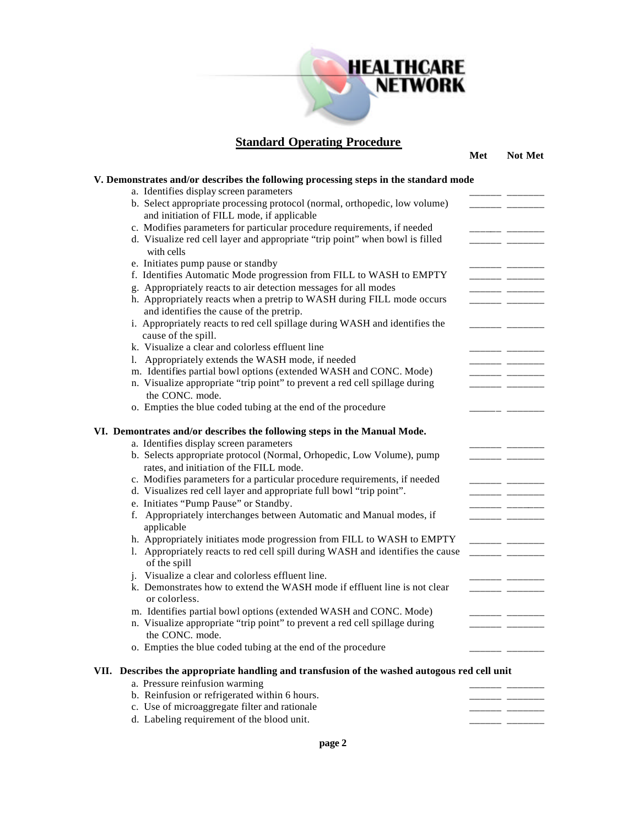

**Standard Operating Procedure**

**Met Not Met**

| a. Identifies display screen parameters                                                      |                          |  |
|----------------------------------------------------------------------------------------------|--------------------------|--|
| b. Select appropriate processing protocol (normal, orthopedic, low volume)                   | _____                    |  |
| and initiation of FILL mode, if applicable                                                   |                          |  |
| c. Modifies parameters for particular procedure requirements, if needed                      |                          |  |
| d. Visualize red cell layer and appropriate "trip point" when bowl is filled                 | _ _                      |  |
| with cells                                                                                   |                          |  |
| e. Initiates pump pause or standby                                                           |                          |  |
| f. Identifies Automatic Mode progression from FILL to WASH to EMPTY                          | $\overline{\phantom{a}}$ |  |
| g. Appropriately reacts to air detection messages for all modes                              |                          |  |
| h. Appropriately reacts when a pretrip to WASH during FILL mode occurs                       |                          |  |
| and identifies the cause of the pretrip.                                                     |                          |  |
| i. Appropriately reacts to red cell spillage during WASH and identifies the                  |                          |  |
| cause of the spill.                                                                          |                          |  |
| k. Visualize a clear and colorless effluent line                                             |                          |  |
| 1. Appropriately extends the WASH mode, if needed                                            |                          |  |
| m. Identifies partial bowl options (extended WASH and CONC. Mode)                            |                          |  |
| n. Visualize appropriate "trip point" to prevent a red cell spillage during                  |                          |  |
| the CONC. mode.                                                                              | - -                      |  |
|                                                                                              |                          |  |
| o. Empties the blue coded tubing at the end of the procedure                                 |                          |  |
| VI. Demontrates and/or describes the following steps in the Manual Mode.                     |                          |  |
| a. Identifies display screen parameters                                                      |                          |  |
| b. Selects appropriate protocol (Normal, Orhopedic, Low Volume), pump                        |                          |  |
| rates, and initiation of the FILL mode.                                                      |                          |  |
| c. Modifies parameters for a particular procedure requirements, if needed                    |                          |  |
| d. Visualizes red cell layer and appropriate full bowl "trip point".                         |                          |  |
| e. Initiates "Pump Pause" or Standby.                                                        | - ---                    |  |
| f. Appropriately interchanges between Automatic and Manual modes, if                         |                          |  |
| applicable                                                                                   |                          |  |
|                                                                                              |                          |  |
| h. Appropriately initiates mode progression from FILL to WASH to EMPTY                       |                          |  |
| 1. Appropriately reacts to red cell spill during WASH and identifies the cause               | $\overline{\phantom{a}}$ |  |
| of the spill                                                                                 |                          |  |
| j. Visualize a clear and colorless effluent line.                                            |                          |  |
| k. Demonstrates how to extend the WASH mode if effluent line is not clear                    |                          |  |
| or colorless.                                                                                |                          |  |
| m. Identifies partial bowl options (extended WASH and CONC. Mode)                            |                          |  |
| n. Visualize appropriate "trip point" to prevent a red cell spillage during                  | - -                      |  |
| the CONC. mode.                                                                              |                          |  |
| o. Empties the blue coded tubing at the end of the procedure                                 |                          |  |
| VII. Describes the appropriate handling and transfusion of the washed autogous red cell unit |                          |  |
| a. Pressure reinfusion warming                                                               |                          |  |
|                                                                                              |                          |  |
| b. Reinfusion or refrigerated within 6 hours.                                                |                          |  |
| c. Use of microaggregate filter and rationale                                                |                          |  |
| d. Labeling requirement of the blood unit.                                                   |                          |  |